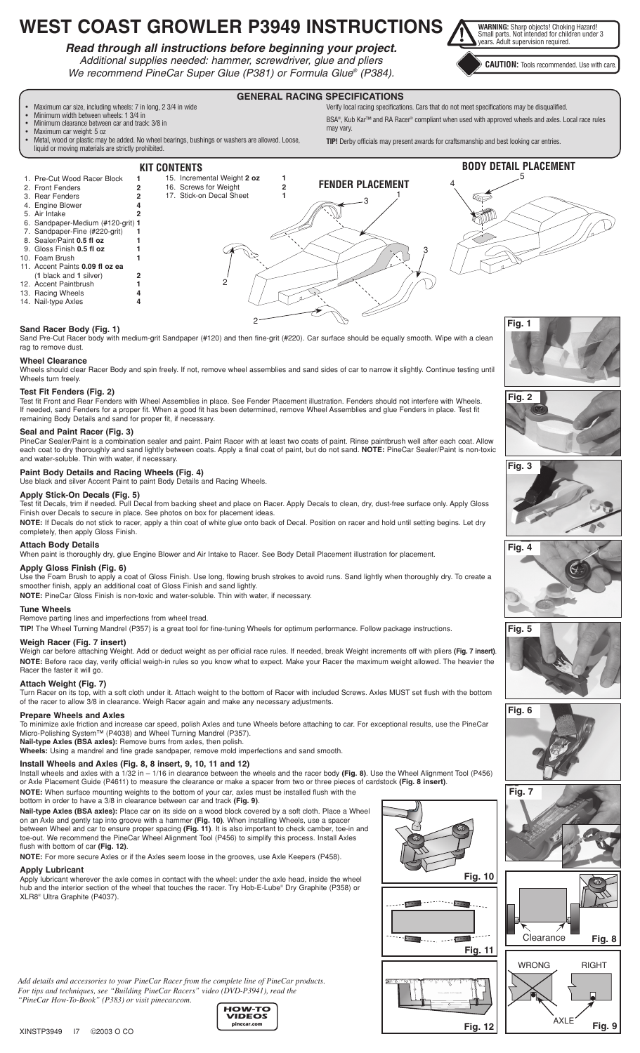# **WEST COAST GROWLER P3949 INSTRUCTIONS**

## *Read through all instructions before beginning your project.*

*Additional supplies needed: hammer, screwdriver, glue and pliers We recommend PineCar Super Glue (P381) or Formula Glue® (P384).* **WARNING:** Sharp objects! Choking Hazard!<br>Small parts. Not intended for children under 3<br>years. Adult supervision required.

**CAUTION:** Tools recommended. Use with care.



**GENERAL RACING SPECIFICATIONS**

- 13. Racing Wheels **4**
- 14. Nail-type Axles

## **Sand Racer Body (Fig. 1)**

Sand Pre-Cut Racer body with medium-grit Sandpaper (#120) and then fine-grit (#220). Car surface should be equally smooth. Wipe with a clean rag to remove dust.

 $\mathcal{D}$ 

## **Wheel Clearance**

Wheels should clear Racer Body and spin freely. If not, remove wheel assemblies and sand sides of car to narrow it slightly. Continue testing until Wheels turn freely.

## **Test Fit Fenders (Fig. 2)**

Test fit Front and Rear Fenders with Wheel Assemblies in place. See Fender Placement illustration. Fenders should not interfere with Wheels. If needed, sand Fenders for a proper fit. When a good fit has been determined, remove Wheel Assemblies and glue Fenders in place. Test fit remaining Body Details and sand for proper fit, if necessary.

## **Seal and Paint Racer (Fig. 3)**

PineCar Sealer/Paint is a combination sealer and paint. Paint Racer with at least two coats of paint. Rinse paintbrush well after each coat. Allow each coat to dry thoroughly and sand lightly between coats. Apply a final coat of paint, but do not sand. **NOTE:** PineCar Sealer/Paint is non-toxic and water-soluble. Thin with water, if necessary.

## **Paint Body Details and Racing Wheels (Fig. 4)**

Use black and silver Accent Paint to paint Body Details and Racing Wheels.

## **Apply Stick-On Decals (Fig. 5)**

Test fit Decals, trim if needed. Pull Decal from backing sheet and place on Racer. Apply Decals to clean, dry, dust-free surface only. Apply Gloss Finish over Decals to secure in place. See photos on box for placement ideas.

**NOTE:** If Decals do not stick to racer, apply a thin coat of white glue onto back of Decal. Position on racer and hold until setting begins. Let dry completely, then apply Gloss Finish.

## **Attach Body Details**

When paint is thoroughly dry, glue Engine Blower and Air Intake to Racer. See Body Detail Placement illustration for placement.

## **Apply Gloss Finish (Fig. 6)**

Use the Foam Brush to apply a coat of Gloss Finish. Use long, flowing brush strokes to avoid runs. Sand lightly when thoroughly dry. To create a smoother finish, apply an additional coat of Gloss Finish and sand lightly.

**NOTE:** PineCar Gloss Finish is non-toxic and water-soluble. Thin with water, if necessary.

## **Tune Wheels**

Remove parting lines and imperfections from wheel tread.

**TIP!** The Wheel Turning Mandrel (P357) is a great tool for fine-tuning Wheels for optimum performance. Follow package instructions.

## **Weigh Racer (Fig. 7 insert)**

Weigh car before attaching Weight. Add or deduct weight as per official race rules. If needed, break Weight increments off with pliers **(Fig. 7 insert)**. **NOTE:** Before race day, verify official weigh-in rules so you know what to expect. Make your Racer the maximum weight allowed. The heavier the Racer the faster it will go.

## **Attach Weight (Fig. 7)**

Turn Racer on its top, with a soft cloth under it. Attach weight to the bottom of Racer with included Screws. Axles MUST set flush with the bottom of the racer to allow 3/8 in clearance. Weigh Racer again and make any necessary adjustments.

## **Prepare Wheels and Axles**

To minimize axle friction and increase car speed, polish Axles and tune Wheels before attaching to car. For exceptional results, use the PineCar Micro-Polishing System™ (P4038) and Wheel Turning Mandrel (P357). **Nail-type Axles (BSA axles):** Remove burrs from axles, then polish.

**Wheels:** Using a mandrel and fine grade sandpaper, remove mold imperfections and sand smooth.

## **Install Wheels and Axles (Fig. 8, 8 insert, 9, 10, 11 and 12)**

Install wheels and axles with a 1/32 in – 1/16 in clearance between the wheels and the racer body **(Fig. 8)**. Use the Wheel Alignment Tool (P456) or Axle Placement Guide (P4611) to measure the clearance or make a spacer from two or three pieces of cardstock **(Fig. 8 insert)**. **NOTE:** When surface mounting weights to the bottom of your car, axles must be installed flush with the

> **HOW-TO VIDEOS pinecar.com**

bottom in order to have a 3/8 in clearance between car and track **(Fig. 9)**.

**Nail-type Axles (BSA axles):** Place car on its side on a wood block covered by a soft cloth. Place a Wheel on an Axle and gently tap into groove with a hammer **(Fig. 10)**. When installing Wheels, use a spacer between Wheel and car to ensure proper spacing **(Fig. 11)**. It is also important to check camber, toe-in and toe-out. We recommend the PineCar Wheel Alignment Tool (P456) to simplify this process. Install Axles flush with bottom of car **(Fig. 12)**.

**NOTE:** For more secure Axles or if the Axles seem loose in the grooves, use Axle Keepers (P458).

#### **Apply Lubricant**

Apply lubricant wherever the axle comes in contact with the wheel: under the axle head, inside the wheel hub and the interior section of the wheel that touches the racer. Try Hob-E-Lube® Dry Graphite (P358) or XLR8® Ultra Graphite (P4037).















**Fig. 7**



.<br>A YI F

**Fig. 9**

*Add details and accessories to your PineCar Racer from the complete line of PineCar products. For tips and techniques, see "Building PineCar Racers" video (DVD-P3941), read the "PineCar How-To-Book" (P383) or visit pinecar.com.*